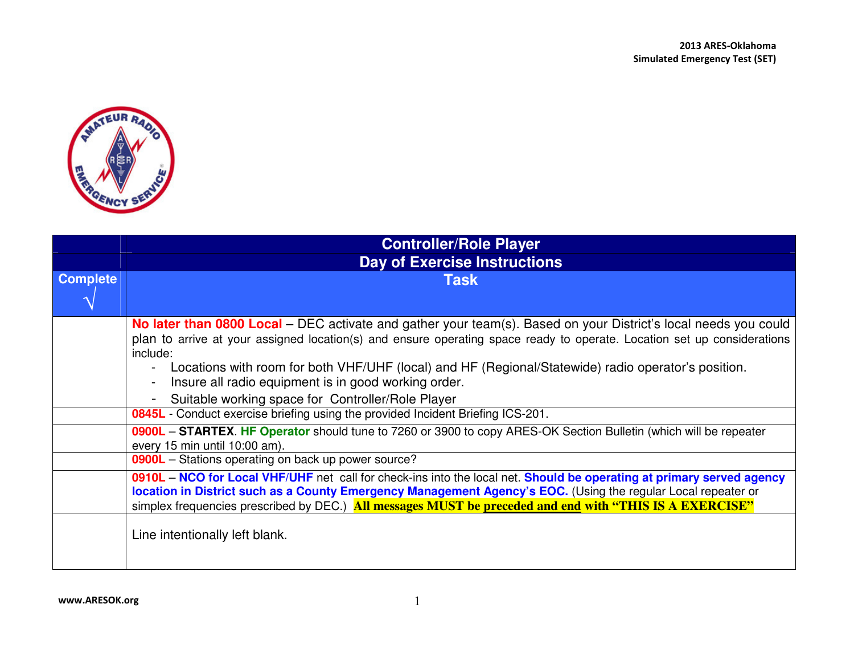

|                 | <b>Controller/Role Player</b>                                                                                                                                                                                                                                                                                                                     |
|-----------------|---------------------------------------------------------------------------------------------------------------------------------------------------------------------------------------------------------------------------------------------------------------------------------------------------------------------------------------------------|
|                 | <b>Day of Exercise Instructions</b>                                                                                                                                                                                                                                                                                                               |
| <b>Complete</b> | <b>Task</b>                                                                                                                                                                                                                                                                                                                                       |
|                 |                                                                                                                                                                                                                                                                                                                                                   |
|                 | <b>No later than 0800 Local</b> – DEC activate and gather your team(s). Based on your District's local needs you could<br>plan to arrive at your assigned location(s) and ensure operating space ready to operate. Location set up considerations<br>include:                                                                                     |
|                 | Locations with room for both VHF/UHF (local) and HF (Regional/Statewide) radio operator's position.<br>Insure all radio equipment is in good working order.                                                                                                                                                                                       |
|                 | Suitable working space for Controller/Role Player                                                                                                                                                                                                                                                                                                 |
|                 | 0845L - Conduct exercise briefing using the provided Incident Briefing ICS-201.                                                                                                                                                                                                                                                                   |
|                 | 0900L – STARTEX. HF Operator should tune to 7260 or 3900 to copy ARES-OK Section Bulletin (which will be repeater<br>every 15 min until 10:00 am).                                                                                                                                                                                                |
|                 | 0900L - Stations operating on back up power source?                                                                                                                                                                                                                                                                                               |
|                 | 0910L – NCO for Local VHF/UHF net call for check-ins into the local net. Should be operating at primary served agency<br>location in District such as a County Emergency Management Agency's EOC. (Using the regular Local repeater or<br>simplex frequencies prescribed by DEC.) All messages MUST be preceded and end with "THIS IS A EXERCISE" |
|                 | Line intentionally left blank.                                                                                                                                                                                                                                                                                                                    |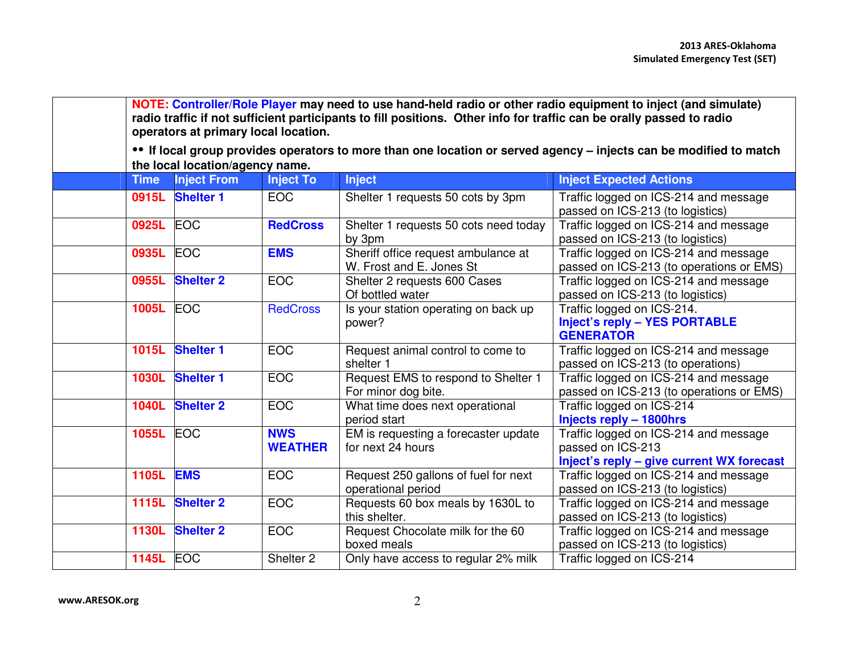**NOTE: Controller/Role Player may need to use hand-held radio or other radio equipment to inject (and simulate) radio traffic if not sufficient participants to fill positions. Other info for traffic can be orally passed to radio operators at primary local location. •• If local group provides operators to more than one location or served agency – injects can be modified to match the local location/agency name.Inject To Time Inject FromInject To Inject Inject Expected Actions<br>
EOC Shelter 1 requests 50 cots by 3pm Traffic logged on ICS-214 0915L Shelter 1**Traffic logged on ICS-214 and message passed on ICS-213 (to logistics) Traffic logged on ICS-214 and message **0925L** EOC**RedCross** Shelter 1 requests 50 cots need today by 3pm C **EMS** Sheriff office request ambulance at  $M \rvert_{\text{Freat end}}$  F large St. passed on ICS-213 (to logistics) Traffic logged on ICS-214 and message **0935L** EOCW. Frost and E. Jones St **0955L Shelter 2** | EOC | Shelter 2 requests 600 Cases passed on ICS-213 (to operations or EMS) Of bottled water C RedCross Is your station operating on back up Traffic logged on ICS-214 and message passed on ICS-213 (to logistics) **1005L** EOCpower? Traffic logged on ICS-214. **Inject's reply – YES PORTABLE GENERATOR**  Traffic logged on ICS-214 and message **1015L Shelter 1**EOC Request animal control to come to shelter 1 1 EOC Request EMS to respond to Shelter 1 passed on ICS-213 (to operations) Traffic logged on ICS-214 and message **1030L Shelter 1**For minor dog bite. **2** EOC What time does next operational passed on ICS-213 (to operations or EMS) **1040L Shelter 2**period start EM is requesting a forecaster update Traffic logged on ICS-214 **Injects reply – 1800hrs** Traffic logged on ICS-214 and message **1055L** EOC **NWS WEATHER** for next 24 hours passed on ICS-213 **Inject's reply – give current WX forecast1105L EMS**EOC Request 250 gallons of fuel for next operational period **1115L Shelter 2** EOC Requests 60 box meals by 1630L to Traffic logged on ICS-214 and message passed on ICS-213 (to logistics) Traffic logged on ICS-214 and message this shelter.  $\begin{array}{|c|c|c|}\n\hline\n\text{EOC} & \text{Request Chocolate milk for the 60}\n\end{array}$ passed on ICS-213 (to logistics) Traffic logged on ICS-214 and message **1130L Shelter 2**boxed meals **1145L** EOC Shelter 2 | Only have access to regular 2% milk | Traffic logged on ICS-214 passed on ICS-213 (to logistics)<br>Traffic logged on ICS-214